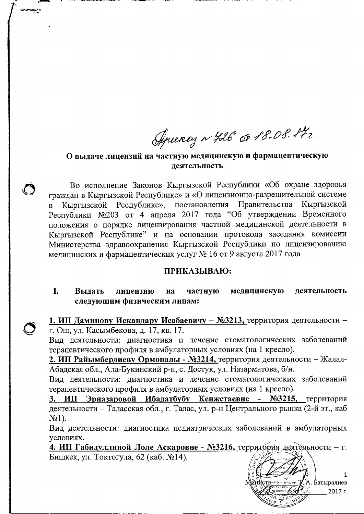Aprency ~ 426 OF 18.08.172.

## О выдаче лицензий на частную медицинскую и фармацевтическую леятельность

Во исполнение Законов Кыргызской Республики «Об охране здоровья граждан в Кыргызской Республике» и «О лицензионно-разрешительной системе Правительства Кыргызской Республике». постановления Кыргызской  $\overline{B}$ Республики №203 от 4 апреля 2017 года "Об утверждении Временного положения о порядке лицензирования частной медицинской деятельности в Кыргызской Республике" и на основании протокола заседания комиссии Министерства здравоохранения Кыргызской Республики по лицензированию медицинских и фармацевтических услуг № 16 от 9 августа 2017 года

## ПРИКАЗЫВАЮ:

I. Вылать липензию на частную медицинскую деятельность следующим физическим лицам:

1. ИП Даминову Искандару Исабаевичу - №3213, территория деятельности г. Ош, ул. Касымбекова, д. 17, кв. 17.

Вид деятельности: диагностика и лечение стоматологических заболеваний терапевтического профиля в амбулаторных условиях (на 1 кресло).

2. ИП Райымбердиеву Ормоналы - №3214, территория деятельности - Жалал-Абадская обл., Ала-Букинский р-н, с. Достук, ул. Назарматова, б/н.

Вид деятельности: диагностика и лечение стоматологических заболеваний терапевтического профиля в амбулаторных условиях (на 1 кресло).

Эрназаровой Ибадатбубу Кенжетаевне - №3215, территория 3. ИП деятельности - Таласская обл., г. Талас, ул. р-н Центрального рынка (2-й эт., каб  $N<sub>2</sub>1$ ).

Вид деятельности: диагностика педиатрических заболеваний в амбулаторных условиях.

4. ИП Габидуллиной Лоле Аскаровне - №3216, территория деятельности - г. Бишкек, ул. Токтогула, 62 (каб. №14).

1 А. Батыралиев 2017 г.